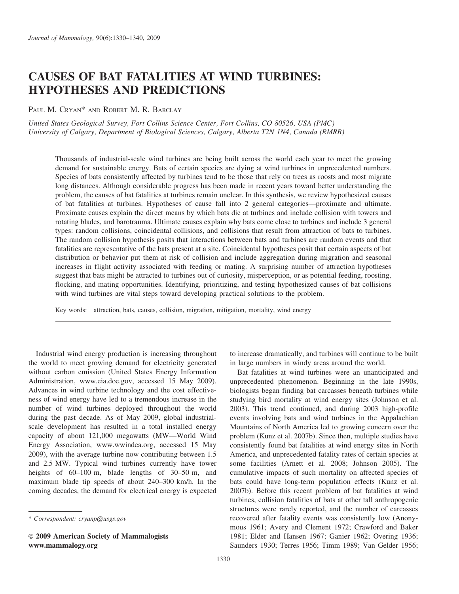# CAUSES OF BAT FATALITIES AT WIND TURBINES: HYPOTHESES AND PREDICTIONS

PAUL M. CRYAN\* AND ROBERT M. R. BARCLAY

United States Geological Survey, Fort Collins Science Center, Fort Collins, CO 80526, USA (PMC) University of Calgary, Department of Biological Sciences, Calgary, Alberta T2N 1N4, Canada (RMRB)

Thousands of industrial-scale wind turbines are being built across the world each year to meet the growing demand for sustainable energy. Bats of certain species are dying at wind turbines in unprecedented numbers. Species of bats consistently affected by turbines tend to be those that rely on trees as roosts and most migrate long distances. Although considerable progress has been made in recent years toward better understanding the problem, the causes of bat fatalities at turbines remain unclear. In this synthesis, we review hypothesized causes of bat fatalities at turbines. Hypotheses of cause fall into 2 general categories—proximate and ultimate. Proximate causes explain the direct means by which bats die at turbines and include collision with towers and rotating blades, and barotrauma. Ultimate causes explain why bats come close to turbines and include 3 general types: random collisions, coincidental collisions, and collisions that result from attraction of bats to turbines. The random collision hypothesis posits that interactions between bats and turbines are random events and that fatalities are representative of the bats present at a site. Coincidental hypotheses posit that certain aspects of bat distribution or behavior put them at risk of collision and include aggregation during migration and seasonal increases in flight activity associated with feeding or mating. A surprising number of attraction hypotheses suggest that bats might be attracted to turbines out of curiosity, misperception, or as potential feeding, roosting, flocking, and mating opportunities. Identifying, prioritizing, and testing hypothesized causes of bat collisions with wind turbines are vital steps toward developing practical solutions to the problem.

Key words: attraction, bats, causes, collision, migration, mitigation, mortality, wind energy

Industrial wind energy production is increasing throughout the world to meet growing demand for electricity generated without carbon emission (United States Energy Information Administration, www.eia.doe.gov, accessed 15 May 2009). Advances in wind turbine technology and the cost effectiveness of wind energy have led to a tremendous increase in the number of wind turbines deployed throughout the world during the past decade. As of May 2009, global industrialscale development has resulted in a total installed energy capacity of about 121,000 megawatts (MW—World Wind Energy Association, www.wwindea.org, accessed 15 May 2009), with the average turbine now contributing between 1.5 and 2.5 MW. Typical wind turbines currently have tower heights of 60–100 m, blade lengths of 30–50 m, and maximum blade tip speeds of about 240–300 km/h. In the coming decades, the demand for electrical energy is expected

E 2009 American Society of Mammalogists www.mammalogy.org

to increase dramatically, and turbines will continue to be built in large numbers in windy areas around the world.

Bat fatalities at wind turbines were an unanticipated and unprecedented phenomenon. Beginning in the late 1990s, biologists began finding bat carcasses beneath turbines while studying bird mortality at wind energy sites (Johnson et al. 2003). This trend continued, and during 2003 high-profile events involving bats and wind turbines in the Appalachian Mountains of North America led to growing concern over the problem (Kunz et al. 2007b). Since then, multiple studies have consistently found bat fatalities at wind energy sites in North America, and unprecedented fatality rates of certain species at some facilities (Arnett et al. 2008; Johnson 2005). The cumulative impacts of such mortality on affected species of bats could have long-term population effects (Kunz et al. 2007b). Before this recent problem of bat fatalities at wind turbines, collision fatalities of bats at other tall anthropogenic structures were rarely reported, and the number of carcasses recovered after fatality events was consistently low (Anonymous 1961; Avery and Clement 1972; Crawford and Baker 1981; Elder and Hansen 1967; Ganier 1962; Overing 1936; Saunders 1930; Terres 1956; Timm 1989; Van Gelder 1956;

<sup>\*</sup> Correspondent: cryanp@usgs.gov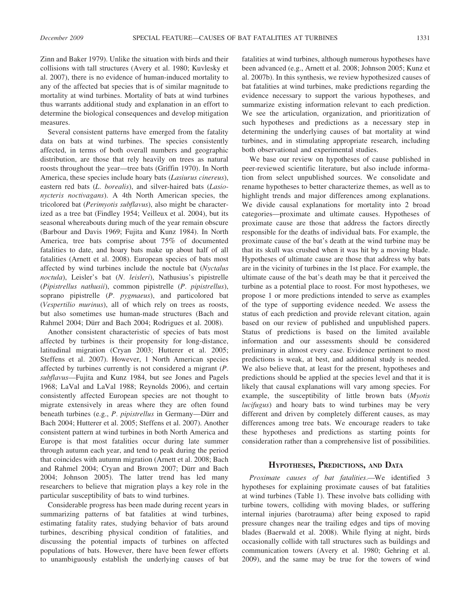Zinn and Baker 1979). Unlike the situation with birds and their collisions with tall structures (Avery et al. 1980; Kuvlesky et al. 2007), there is no evidence of human-induced mortality to any of the affected bat species that is of similar magnitude to mortality at wind turbines. Mortality of bats at wind turbines thus warrants additional study and explanation in an effort to determine the biological consequences and develop mitigation measures.

Several consistent patterns have emerged from the fatality data on bats at wind turbines. The species consistently affected, in terms of both overall numbers and geographic distribution, are those that rely heavily on trees as natural roosts throughout the year—tree bats (Griffin 1970). In North America, these species include hoary bats (Lasiurus cinereus), eastern red bats (L. borealis), and silver-haired bats (Lasionycteris noctivagans). A 4th North American species, the tricolored bat (Perimyotis subflavus), also might be characterized as a tree bat (Findley 1954; Veilleux et al. 2004), but its seasonal whereabouts during much of the year remain obscure (Barbour and Davis 1969; Fujita and Kunz 1984). In North America, tree bats comprise about 75% of documented fatalities to date, and hoary bats make up about half of all fatalities (Arnett et al. 2008). European species of bats most affected by wind turbines include the noctule bat (Nyctalus noctula), Leisler's bat (N. leisleri), Nathusius's pipistrelle (Pipistrellus nathusii), common pipistrelle (P. pipistrellus), soprano pipistrelle (P. pygmaeus), and particolored bat (Vespertilio murinus), all of which rely on trees as roosts, but also sometimes use human-made structures (Bach and Rahmel 2004; Dürr and Bach 2004; Rodrigues et al. 2008).

Another consistent characteristic of species of bats most affected by turbines is their propensity for long-distance, latitudinal migration (Cryan 2003; Hutterer et al. 2005; Steffens et al. 2007). However, 1 North American species affected by turbines currently is not considered a migrant (P. subflavus—Fujita and Kunz 1984, but see Jones and Pagels 1968; LaVal and LaVal 1988; Reynolds 2006), and certain consistently affected European species are not thought to migrate extensively in areas where they are often found beneath turbines (e.g., P. pipistrellus in Germany—Dürr and Bach 2004; Hutterer et al. 2005; Steffens et al. 2007). Another consistent pattern at wind turbines in both North America and Europe is that most fatalities occur during late summer through autumn each year, and tend to peak during the period that coincides with autumn migration (Arnett et al. 2008; Bach and Rahmel 2004; Cryan and Brown 2007; Dürr and Bach 2004; Johnson 2005). The latter trend has led many researchers to believe that migration plays a key role in the particular susceptibility of bats to wind turbines.

Considerable progress has been made during recent years in summarizing patterns of bat fatalities at wind turbines, estimating fatality rates, studying behavior of bats around turbines, describing physical condition of fatalities, and discussing the potential impacts of turbines on affected populations of bats. However, there have been fewer efforts to unambiguously establish the underlying causes of bat fatalities at wind turbines, although numerous hypotheses have been advanced (e.g., Arnett et al. 2008; Johnson 2005; Kunz et al. 2007b). In this synthesis, we review hypothesized causes of bat fatalities at wind turbines, make predictions regarding the evidence necessary to support the various hypotheses, and summarize existing information relevant to each prediction. We see the articulation, organization, and prioritization of such hypotheses and predictions as a necessary step in determining the underlying causes of bat mortality at wind turbines, and in stimulating appropriate research, including both observational and experimental studies.

We base our review on hypotheses of cause published in peer-reviewed scientific literature, but also include information from select unpublished sources. We consolidate and rename hypotheses to better characterize themes, as well as to highlight trends and major differences among explanations. We divide causal explanations for mortality into 2 broad categories—proximate and ultimate causes. Hypotheses of proximate cause are those that address the factors directly responsible for the deaths of individual bats. For example, the proximate cause of the bat's death at the wind turbine may be that its skull was crushed when it was hit by a moving blade. Hypotheses of ultimate cause are those that address why bats are in the vicinity of turbines in the 1st place. For example, the ultimate cause of the bat's death may be that it perceived the turbine as a potential place to roost. For most hypotheses, we propose 1 or more predictions intended to serve as examples of the type of supporting evidence needed. We assess the status of each prediction and provide relevant citation, again based on our review of published and unpublished papers. Status of predictions is based on the limited available information and our assessments should be considered preliminary in almost every case. Evidence pertinent to most predictions is weak, at best, and additional study is needed. We also believe that, at least for the present, hypotheses and predictions should be applied at the species level and that it is likely that causal explanations will vary among species. For example, the susceptibility of little brown bats (Myotis lucifugus) and hoary bats to wind turbines may be very different and driven by completely different causes, as may differences among tree bats. We encourage readers to take these hypotheses and predictions as starting points for consideration rather than a comprehensive list of possibilities.

## HYPOTHESES, PREDICTIONS, AND DATA

Proximate causes of bat fatalities.—We identified 3 hypotheses for explaining proximate causes of bat fatalities at wind turbines (Table 1). These involve bats colliding with turbine towers, colliding with moving blades, or suffering internal injuries (barotrauma) after being exposed to rapid pressure changes near the trailing edges and tips of moving blades (Baerwald et al. 2008). While flying at night, birds occasionally collide with tall structures such as buildings and communication towers (Avery et al. 1980; Gehring et al. 2009), and the same may be true for the towers of wind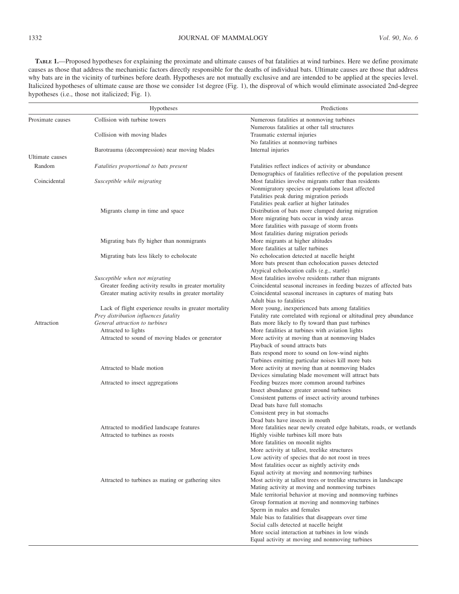## 1332 JOURNAL OF MAMMALOGY Vol. 90, No. 6

TABLE 1.—Proposed hypotheses for explaining the proximate and ultimate causes of bat fatalities at wind turbines. Here we define proximate causes as those that address the mechanistic factors directly responsible for the deaths of individual bats. Ultimate causes are those that address why bats are in the vicinity of turbines before death. Hypotheses are not mutually exclusive and are intended to be applied at the species level. Italicized hypotheses of ultimate cause are those we consider 1st degree (Fig. 1), the disproval of which would eliminate associated 2nd-degree hypotheses (i.e., those not italicized; Fig. 1).

|                  | Hypotheses                                             | Predictions                                                                                                            |
|------------------|--------------------------------------------------------|------------------------------------------------------------------------------------------------------------------------|
| Proximate causes | Collision with turbine towers                          | Numerous fatalities at nonmoving turbines                                                                              |
|                  |                                                        | Numerous fatalities at other tall structures                                                                           |
|                  | Collision with moving blades                           | Traumatic external injuries                                                                                            |
|                  |                                                        | No fatalities at nonmoving turbines                                                                                    |
| Ultimate causes  | Barotrauma (decompression) near moving blades          | Internal injuries                                                                                                      |
| Random           |                                                        |                                                                                                                        |
|                  | Fatalities proportional to bats present                | Fatalities reflect indices of activity or abundance<br>Demographics of fatalities reflective of the population present |
| Coincidental     | Susceptible while migrating                            | Most fatalities involve migrants rather than residents                                                                 |
|                  |                                                        | Nonmigratory species or populations least affected                                                                     |
|                  |                                                        | Fatalities peak during migration periods                                                                               |
|                  |                                                        | Fatalities peak earlier at higher latitudes                                                                            |
|                  | Migrants clump in time and space                       | Distribution of bats more clumped during migration                                                                     |
|                  |                                                        | More migrating bats occur in windy areas                                                                               |
|                  |                                                        | More fatalities with passage of storm fronts                                                                           |
|                  |                                                        | Most fatalities during migration periods                                                                               |
|                  | Migrating bats fly higher than nonmigrants             | More migrants at higher altitudes                                                                                      |
|                  |                                                        | More fatalities at taller turbines                                                                                     |
|                  | Migrating bats less likely to echolocate               | No echolocation detected at nacelle height                                                                             |
|                  |                                                        | More bats present than echolocation passes detected<br>Atypical echolocation calls (e.g., startle)                     |
|                  | Susceptible when not migrating                         | Most fatalities involve residents rather than migrants                                                                 |
|                  | Greater feeding activity results in greater mortality  | Coincidental seasonal increases in feeding buzzes of affected bats                                                     |
|                  | Greater mating activity results in greater mortality   | Coincidental seasonal increases in captures of mating bats                                                             |
|                  |                                                        | Adult bias to fatalities                                                                                               |
|                  | Lack of flight experience results in greater mortality | More young, inexperienced bats among fatalities                                                                        |
|                  | Prey distribution influences fatality                  | Fatality rate correlated with regional or altitudinal prey abundance                                                   |
| Attraction       | General attraction to turbines                         | Bats more likely to fly toward than past turbines                                                                      |
|                  | Attracted to lights                                    | More fatalities at turbines with aviation lights                                                                       |
|                  | Attracted to sound of moving blades or generator       | More activity at moving than at nonmoving blades                                                                       |
|                  |                                                        | Playback of sound attracts bats<br>Bats respond more to sound on low-wind nights                                       |
|                  |                                                        | Turbines emitting particular noises kill more bats                                                                     |
|                  | Attracted to blade motion                              | More activity at moving than at nonmoving blades                                                                       |
|                  |                                                        | Devices simulating blade movement will attract bats                                                                    |
|                  | Attracted to insect aggregations                       | Feeding buzzes more common around turbines                                                                             |
|                  |                                                        | Insect abundance greater around turbines                                                                               |
|                  |                                                        | Consistent patterns of insect activity around turbines                                                                 |
|                  |                                                        | Dead bats have full stomachs                                                                                           |
|                  |                                                        | Consistent prey in bat stomachs                                                                                        |
|                  | Attracted to modified landscape features               | Dead bats have insects in mouth<br>More fatalities near newly created edge habitats, roads, or wetlands                |
|                  | Attracted to turbines as roosts                        | Highly visible turbines kill more bats                                                                                 |
|                  |                                                        | More fatalities on moonlit nights                                                                                      |
|                  |                                                        | More activity at tallest, treelike structures                                                                          |
|                  |                                                        | Low activity of species that do not roost in trees                                                                     |
|                  |                                                        | Most fatalities occur as nightly activity ends                                                                         |
|                  |                                                        | Equal activity at moving and nonmoving turbines                                                                        |
|                  | Attracted to turbines as mating or gathering sites     | Most activity at tallest trees or treelike structures in landscape                                                     |
|                  |                                                        | Mating activity at moving and nonmoving turbines                                                                       |
|                  |                                                        | Male territorial behavior at moving and nonmoving turbines                                                             |
|                  |                                                        | Group formation at moving and nonmoving turbines<br>Sperm in males and females                                         |
|                  |                                                        | Male bias to fatalities that disappears over time                                                                      |
|                  |                                                        | Social calls detected at nacelle height                                                                                |
|                  |                                                        | More social interaction at turbines in low winds                                                                       |
|                  |                                                        | Equal activity at moving and nonmoving turbines                                                                        |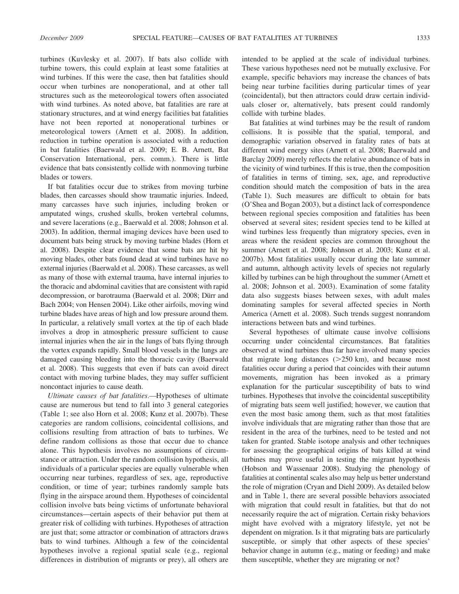turbines (Kuvlesky et al. 2007). If bats also collide with turbine towers, this could explain at least some fatalities at wind turbines. If this were the case, then bat fatalities should occur when turbines are nonoperational, and at other tall structures such as the meteorological towers often associated with wind turbines. As noted above, bat fatalities are rare at stationary structures, and at wind energy facilities bat fatalities have not been reported at nonoperational turbines or meteorological towers (Arnett et al. 2008). In addition, reduction in turbine operation is associated with a reduction in bat fatalities (Baerwald et al. 2009; E. B. Arnett, Bat Conservation International, pers. comm.). There is little evidence that bats consistently collide with nonmoving turbine blades or towers.

If bat fatalities occur due to strikes from moving turbine blades, then carcasses should show traumatic injuries. Indeed, many carcasses have such injuries, including broken or amputated wings, crushed skulls, broken vertebral columns, and severe lacerations (e.g., Baerwald et al. 2008; Johnson et al. 2003). In addition, thermal imaging devices have been used to document bats being struck by moving turbine blades (Horn et al. 2008). Despite clear evidence that some bats are hit by moving blades, other bats found dead at wind turbines have no external injuries (Baerwald et al. 2008). These carcasses, as well as many of those with external trauma, have internal injuries to the thoracic and abdominal cavities that are consistent with rapid decompression, or barotrauma (Baerwald et al. 2008; Dürr and Bach 2004; von Hensen 2004). Like other airfoils, moving wind turbine blades have areas of high and low pressure around them. In particular, a relatively small vortex at the tip of each blade involves a drop in atmospheric pressure sufficient to cause internal injuries when the air in the lungs of bats flying through the vortex expands rapidly. Small blood vessels in the lungs are damaged causing bleeding into the thoracic cavity (Baerwald et al. 2008). This suggests that even if bats can avoid direct contact with moving turbine blades, they may suffer sufficient noncontact injuries to cause death.

Ultimate causes of bat fatalities.—Hypotheses of ultimate cause are numerous but tend to fall into 3 general categories (Table 1; see also Horn et al. 2008; Kunz et al. 2007b). These categories are random collisions, coincidental collisions, and collisions resulting from attraction of bats to turbines. We define random collisions as those that occur due to chance alone. This hypothesis involves no assumptions of circumstance or attraction. Under the random collision hypothesis, all individuals of a particular species are equally vulnerable when occurring near turbines, regardless of sex, age, reproductive condition, or time of year; turbines randomly sample bats flying in the airspace around them. Hypotheses of coincidental collision involve bats being victims of unfortunate behavioral circumstances—certain aspects of their behavior put them at greater risk of colliding with turbines. Hypotheses of attraction are just that; some attractor or combination of attractors draws bats to wind turbines. Although a few of the coincidental hypotheses involve a regional spatial scale (e.g., regional differences in distribution of migrants or prey), all others are intended to be applied at the scale of individual turbines. These various hypotheses need not be mutually exclusive. For example, specific behaviors may increase the chances of bats being near turbine facilities during particular times of year (coincidental), but then attractors could draw certain individuals closer or, alternatively, bats present could randomly collide with turbine blades.

Bat fatalities at wind turbines may be the result of random collisions. It is possible that the spatial, temporal, and demographic variation observed in fatality rates of bats at different wind energy sites (Arnett et al. 2008; Baerwald and Barclay 2009) merely reflects the relative abundance of bats in the vicinity of wind turbines. If this is true, then the composition of fatalities in terms of timing, sex, age, and reproductive condition should match the composition of bats in the area (Table 1). Such measures are difficult to obtain for bats (O'Shea and Bogan 2003), but a distinct lack of correspondence between regional species composition and fatalities has been observed at several sites; resident species tend to be killed at wind turbines less frequently than migratory species, even in areas where the resident species are common throughout the summer (Arnett et al. 2008; Johnson et al. 2003; Kunz et al. 2007b). Most fatalities usually occur during the late summer and autumn, although activity levels of species not regularly killed by turbines can be high throughout the summer (Arnett et al. 2008; Johnson et al. 2003). Examination of some fatality data also suggests biases between sexes, with adult males dominating samples for several affected species in North America (Arnett et al. 2008). Such trends suggest nonrandom interactions between bats and wind turbines.

Several hypotheses of ultimate cause involve collisions occurring under coincidental circumstances. Bat fatalities observed at wind turbines thus far have involved many species that migrate long distances  $(>=250 \text{ km})$ , and because most fatalities occur during a period that coincides with their autumn movements, migration has been invoked as a primary explanation for the particular susceptibility of bats to wind turbines. Hypotheses that involve the coincidental susceptibility of migrating bats seem well justified; however, we caution that even the most basic among them, such as that most fatalities involve individuals that are migrating rather than those that are resident in the area of the turbines, need to be tested and not taken for granted. Stable isotope analysis and other techniques for assessing the geographical origins of bats killed at wind turbines may prove useful in testing the migrant hypothesis (Hobson and Wassenaar 2008). Studying the phenology of fatalities at continental scales also may help us better understand the role of migration (Cryan and Diehl 2009). As detailed below and in Table 1, there are several possible behaviors associated with migration that could result in fatalities, but that do not necessarily require the act of migration. Certain risky behaviors might have evolved with a migratory lifestyle, yet not be dependent on migration. Is it that migrating bats are particularly susceptible, or simply that other aspects of these species' behavior change in autumn (e.g., mating or feeding) and make them susceptible, whether they are migrating or not?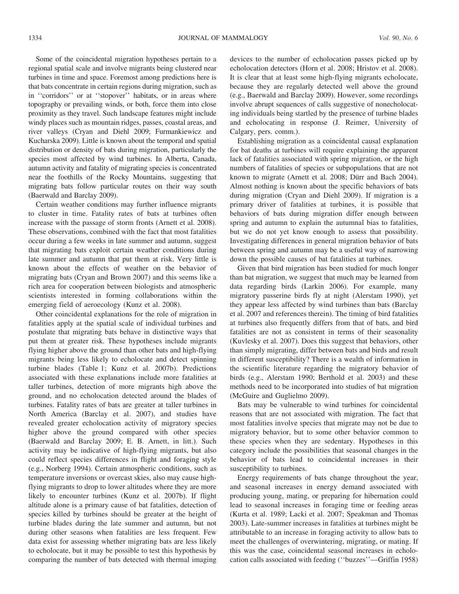Some of the coincidental migration hypotheses pertain to a regional spatial scale and involve migrants being clustered near turbines in time and space. Foremost among predictions here is that bats concentrate in certain regions during migration, such as in ''corridors'' or at ''stopover'' habitats, or in areas where topography or prevailing winds, or both, force them into close proximity as they travel. Such landscape features might include windy places such as mountain ridges, passes, coastal areas, and river valleys (Cryan and Diehl 2009; Furmankiewicz and Kucharska 2009). Little is known about the temporal and spatial distribution or density of bats during migration, particularly the species most affected by wind turbines. In Alberta, Canada, autumn activity and fatality of migrating species is concentrated near the foothills of the Rocky Mountains, suggesting that migrating bats follow particular routes on their way south (Baerwald and Barclay 2009).

Certain weather conditions may further influence migrants to cluster in time. Fatality rates of bats at turbines often increase with the passage of storm fronts (Arnett et al. 2008). These observations, combined with the fact that most fatalities occur during a few weeks in late summer and autumn, suggest that migrating bats exploit certain weather conditions during late summer and autumn that put them at risk. Very little is known about the effects of weather on the behavior of migrating bats (Cryan and Brown 2007) and this seems like a rich area for cooperation between biologists and atmospheric scientists interested in forming collaborations within the emerging field of aeroecology (Kunz et al. 2008).

Other coincidental explanations for the role of migration in fatalities apply at the spatial scale of individual turbines and postulate that migrating bats behave in distinctive ways that put them at greater risk. These hypotheses include migrants flying higher above the ground than other bats and high-flying migrants being less likely to echolocate and detect spinning turbine blades (Table 1; Kunz et al. 2007b). Predictions associated with these explanations include more fatalities at taller turbines, detection of more migrants high above the ground, and no echolocation detected around the blades of turbines. Fatality rates of bats are greater at taller turbines in North America (Barclay et al. 2007), and studies have revealed greater echolocation activity of migratory species higher above the ground compared with other species (Baerwald and Barclay 2009; E. B. Arnett, in litt.). Such activity may be indicative of high-flying migrants, but also could reflect species differences in flight and foraging style (e.g., Norberg 1994). Certain atmospheric conditions, such as temperature inversions or overcast skies, also may cause highflying migrants to drop to lower altitudes where they are more likely to encounter turbines (Kunz et al. 2007b). If flight altitude alone is a primary cause of bat fatalities, detection of species killed by turbines should be greater at the height of turbine blades during the late summer and autumn, but not during other seasons when fatalities are less frequent. Few data exist for assessing whether migrating bats are less likely to echolocate, but it may be possible to test this hypothesis by comparing the number of bats detected with thermal imaging devices to the number of echolocation passes picked up by echolocation detectors (Horn et al. 2008; Hristov et al. 2008). It is clear that at least some high-flying migrants echolocate, because they are regularly detected well above the ground (e.g., Baerwald and Barclay 2009). However, some recordings involve abrupt sequences of calls suggestive of nonecholocating individuals being startled by the presence of turbine blades and echolocating in response (J. Reimer, University of Calgary, pers. comm.).

Establishing migration as a coincidental causal explanation for bat deaths at turbines will require explaining the apparent lack of fatalities associated with spring migration, or the high numbers of fatalities of species or subpopulations that are not known to migrate (Arnett et al. 2008; Dürr and Bach 2004). Almost nothing is known about the specific behaviors of bats during migration (Cryan and Diehl 2009). If migration is a primary driver of fatalities at turbines, it is possible that behaviors of bats during migration differ enough between spring and autumn to explain the autumnal bias to fatalities, but we do not yet know enough to assess that possibility. Investigating differences in general migration behavior of bats between spring and autumn may be a useful way of narrowing down the possible causes of bat fatalities at turbines.

Given that bird migration has been studied for much longer than bat migration, we suggest that much may be learned from data regarding birds (Larkin 2006). For example, many migratory passerine birds fly at night (Alerstam 1990), yet they appear less affected by wind turbines than bats (Barclay et al. 2007 and references therein). The timing of bird fatalities at turbines also frequently differs from that of bats, and bird fatalities are not as consistent in terms of their seasonality (Kuvlesky et al. 2007). Does this suggest that behaviors, other than simply migrating, differ between bats and birds and result in different susceptibility? There is a wealth of information in the scientific literature regarding the migratory behavior of birds (e.g., Alerstam 1990; Berthold et al. 2003) and these methods need to be incorporated into studies of bat migration (McGuire and Guglielmo 2009).

Bats may be vulnerable to wind turbines for coincidental reasons that are not associated with migration. The fact that most fatalities involve species that migrate may not be due to migratory behavior, but to some other behavior common to these species when they are sedentary. Hypotheses in this category include the possibilities that seasonal changes in the behavior of bats lead to coincidental increases in their susceptibility to turbines.

Energy requirements of bats change throughout the year, and seasonal increases in energy demand associated with producing young, mating, or preparing for hibernation could lead to seasonal increases in foraging time or feeding areas (Kurta et al. 1989; Lacki et al. 2007; Speakman and Thomas 2003). Late-summer increases in fatalities at turbines might be attributable to an increase in foraging activity to allow bats to meet the challenges of overwintering, migrating, or mating. If this was the case, coincidental seasonal increases in echolocation calls associated with feeding (''buzzes''—Griffin 1958)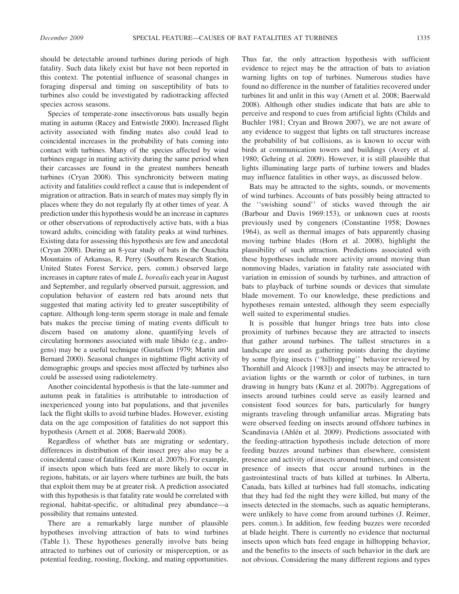should be detectable around turbines during periods of high fatality. Such data likely exist but have not been reported in this context. The potential influence of seasonal changes in foraging dispersal and timing on susceptibility of bats to turbines also could be investigated by radiotracking affected species across seasons.

Species of temperate-zone insectivorous bats usually begin mating in autumn (Racey and Entwistle 2000). Increased flight activity associated with finding mates also could lead to coincidental increases in the probability of bats coming into contact with turbines. Many of the species affected by wind turbines engage in mating activity during the same period when their carcasses are found in the greatest numbers beneath turbines (Cryan 2008). This synchronicity between mating activity and fatalities could reflect a cause that is independent of migration or attraction. Bats in search of mates may simply fly in places where they do not regularly fly at other times of year. A prediction under this hypothesis would be an increase in captures or other observations of reproductively active bats, with a bias toward adults, coinciding with fatality peaks at wind turbines. Existing data for assessing this hypothesis are few and anecdotal (Cryan 2008). During an 8-year study of bats in the Ouachita Mountains of Arkansas, R. Perry (Southern Research Station, United States Forest Service, pers. comm.) observed large increases in capture rates of male L. borealis each year in August and September, and regularly observed pursuit, aggression, and copulation behavior of eastern red bats around nets that suggested that mating activity led to greater susceptibility of capture. Although long-term sperm storage in male and female bats makes the precise timing of mating events difficult to discern based on anatomy alone, quantifying levels of circulating hormones associated with male libido (e.g., androgens) may be a useful technique (Gustafson 1979; Martin and Bernard 2000). Seasonal changes in nighttime flight activity of demographic groups and species most affected by turbines also could be assessed using radiotelemetry.

Another coincidental hypothesis is that the late-summer and autumn peak in fatalities is attributable to introduction of inexperienced young into bat populations, and that juveniles lack the flight skills to avoid turbine blades. However, existing data on the age composition of fatalities do not support this hypothesis (Arnett et al. 2008; Baerwald 2008).

Regardless of whether bats are migrating or sedentary, differences in distribution of their insect prey also may be a coincidental cause of fatalities (Kunz et al. 2007b). For example, if insects upon which bats feed are more likely to occur in regions, habitats, or air layers where turbines are built, the bats that exploit them may be at greater risk. A prediction associated with this hypothesis is that fatality rate would be correlated with regional, habitat-specific, or altitudinal prey abundance—a possibility that remains untested.

There are a remarkably large number of plausible hypotheses involving attraction of bats to wind turbines (Table 1). These hypotheses generally involve bats being attracted to turbines out of curiosity or misperception, or as potential feeding, roosting, flocking, and mating opportunities. Thus far, the only attraction hypothesis with sufficient evidence to reject may be the attraction of bats to aviation warning lights on top of turbines. Numerous studies have found no difference in the number of fatalities recovered under turbines lit and unlit in this way (Arnett et al. 2008; Baerwald 2008). Although other studies indicate that bats are able to perceive and respond to cues from artificial lights (Childs and Buchler 1981; Cryan and Brown 2007), we are not aware of any evidence to suggest that lights on tall structures increase the probability of bat collisions, as is known to occur with birds at communication towers and buildings (Avery et al. 1980; Gehring et al. 2009). However, it is still plausible that lights illuminating large parts of turbine towers and blades may influence fatalities in other ways, as discussed below.

Bats may be attracted to the sights, sounds, or movements of wind turbines. Accounts of bats possibly being attracted to the ''swishing sound'' of sticks waved through the air (Barbour and Davis 1969:153), or unknown cues at roosts previously used by congeners (Constantine 1958; Downes 1964), as well as thermal images of bats apparently chasing moving turbine blades (Horn et al. 2008), highlight the plausibility of such attraction. Predictions associated with these hypotheses include more activity around moving than nonmoving blades, variation in fatality rate associated with variation in emission of sounds by turbines, and attraction of bats to playback of turbine sounds or devices that simulate blade movement. To our knowledge, these predictions and hypotheses remain untested, although they seem especially well suited to experimental studies.

It is possible that hunger brings tree bats into close proximity of turbines because they are attracted to insects that gather around turbines. The tallest structures in a landscape are used as gathering points during the daytime by some flying insects (''hilltopping'' behavior reviewed by Thornhill and Alcock [1983]) and insects may be attracted to aviation lights or the warmth or color of turbines, in turn drawing in hungry bats (Kunz et al. 2007b). Aggregations of insects around turbines could serve as easily learned and consistent food sources for bats, particularly for hungry migrants traveling through unfamiliar areas. Migrating bats were observed feeding on insects around offshore turbines in Scandinavia (Ahlén et al. 2009). Predictions associated with the feeding-attraction hypothesis include detection of more feeding buzzes around turbines than elsewhere, consistent presence and activity of insects around turbines, and consistent presence of insects that occur around turbines in the gastrointestinal tracts of bats killed at turbines. In Alberta, Canada, bats killed at turbines had full stomachs, indicating that they had fed the night they were killed, but many of the insects detected in the stomachs, such as aquatic hemipterans, were unlikely to have come from around turbines (J. Reimer, pers. comm.). In addition, few feeding buzzes were recorded at blade height. There is currently no evidence that nocturnal insects upon which bats feed engage in hilltopping behavior, and the benefits to the insects of such behavior in the dark are not obvious. Considering the many different regions and types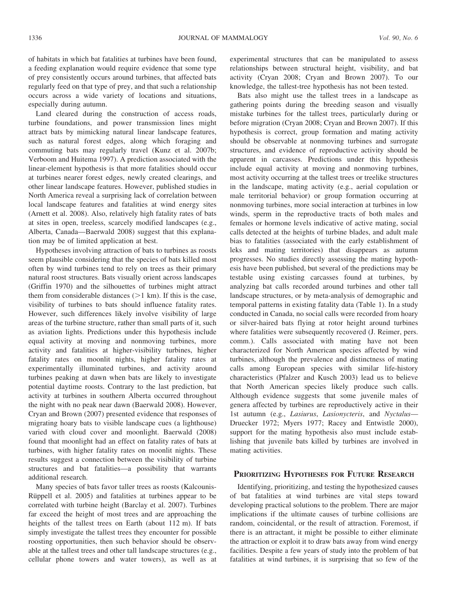of habitats in which bat fatalities at turbines have been found, a feeding explanation would require evidence that some type of prey consistently occurs around turbines, that affected bats regularly feed on that type of prey, and that such a relationship occurs across a wide variety of locations and situations, especially during autumn.

Land cleared during the construction of access roads, turbine foundations, and power transmission lines might attract bats by mimicking natural linear landscape features, such as natural forest edges, along which foraging and commuting bats may regularly travel (Kunz et al. 2007b; Verboom and Huitema 1997). A prediction associated with the linear-element hypothesis is that more fatalities should occur at turbines nearer forest edges, newly created clearings, and other linear landscape features. However, published studies in North America reveal a surprising lack of correlation between local landscape features and fatalities at wind energy sites (Arnett et al. 2008). Also, relatively high fatality rates of bats at sites in open, treeless, scarcely modified landscapes (e.g., Alberta, Canada—Baerwald 2008) suggest that this explanation may be of limited application at best.

Hypotheses involving attraction of bats to turbines as roosts seem plausible considering that the species of bats killed most often by wind turbines tend to rely on trees as their primary natural roost structures. Bats visually orient across landscapes (Griffin 1970) and the silhouettes of turbines might attract them from considerable distances  $(>1 \text{ km})$ . If this is the case, visibility of turbines to bats should influence fatality rates. However, such differences likely involve visibility of large areas of the turbine structure, rather than small parts of it, such as aviation lights. Predictions under this hypothesis include equal activity at moving and nonmoving turbines, more activity and fatalities at higher-visibility turbines, higher fatality rates on moonlit nights, higher fatality rates at experimentally illuminated turbines, and activity around turbines peaking at dawn when bats are likely to investigate potential daytime roosts. Contrary to the last prediction, bat activity at turbines in southern Alberta occurred throughout the night with no peak near dawn (Baerwald 2008). However, Cryan and Brown (2007) presented evidence that responses of migrating hoary bats to visible landscape cues (a lighthouse) varied with cloud cover and moonlight. Baerwald (2008) found that moonlight had an effect on fatality rates of bats at turbines, with higher fatality rates on moonlit nights. These results suggest a connection between the visibility of turbine structures and bat fatalities—a possibility that warrants additional research.

Many species of bats favor taller trees as roosts (Kalcounis-Rüppell et al. 2005) and fatalities at turbines appear to be correlated with turbine height (Barclay et al. 2007). Turbines far exceed the height of most trees and are approaching the heights of the tallest trees on Earth (about 112 m). If bats simply investigate the tallest trees they encounter for possible roosting opportunities, then such behavior should be observable at the tallest trees and other tall landscape structures (e.g., cellular phone towers and water towers), as well as at experimental structures that can be manipulated to assess relationships between structural height, visibility, and bat activity (Cryan 2008; Cryan and Brown 2007). To our knowledge, the tallest-tree hypothesis has not been tested.

Bats also might use the tallest trees in a landscape as gathering points during the breeding season and visually mistake turbines for the tallest trees, particularly during or before migration (Cryan 2008; Cryan and Brown 2007). If this hypothesis is correct, group formation and mating activity should be observable at nonmoving turbines and surrogate structures, and evidence of reproductive activity should be apparent in carcasses. Predictions under this hypothesis include equal activity at moving and nonmoving turbines, most activity occurring at the tallest trees or treelike structures in the landscape, mating activity (e.g., aerial copulation or male territorial behavior) or group formation occurring at nonmoving turbines, more social interaction at turbines in low winds, sperm in the reproductive tracts of both males and females or hormone levels indicative of active mating, social calls detected at the heights of turbine blades, and adult male bias to fatalities (associated with the early establishment of leks and mating territories) that disappears as autumn progresses. No studies directly assessing the mating hypothesis have been published, but several of the predictions may be testable using existing carcasses found at turbines, by analyzing bat calls recorded around turbines and other tall landscape structures, or by meta-analysis of demographic and temporal patterns in existing fatality data (Table 1). In a study conducted in Canada, no social calls were recorded from hoary or silver-haired bats flying at rotor height around turbines where fatalities were subsequently recovered (J. Reimer, pers. comm.). Calls associated with mating have not been characterized for North American species affected by wind turbines, although the prevalence and distinctness of mating calls among European species with similar life-history characteristics (Pfalzer and Kusch 2003) lead us to believe that North American species likely produce such calls. Although evidence suggests that some juvenile males of genera affected by turbines are reproductively active in their 1st autumn (e.g., Lasiurus, Lasionycteris, and Nyctalus— Druecker 1972; Myers 1977; Racey and Entwistle 2000), support for the mating hypothesis also must include establishing that juvenile bats killed by turbines are involved in mating activities.

## PRIORITIZING HYPOTHESES FOR FUTURE RESEARCH

Identifying, prioritizing, and testing the hypothesized causes of bat fatalities at wind turbines are vital steps toward developing practical solutions to the problem. There are major implications if the ultimate causes of turbine collisions are random, coincidental, or the result of attraction. Foremost, if there is an attractant, it might be possible to either eliminate the attraction or exploit it to draw bats away from wind energy facilities. Despite a few years of study into the problem of bat fatalities at wind turbines, it is surprising that so few of the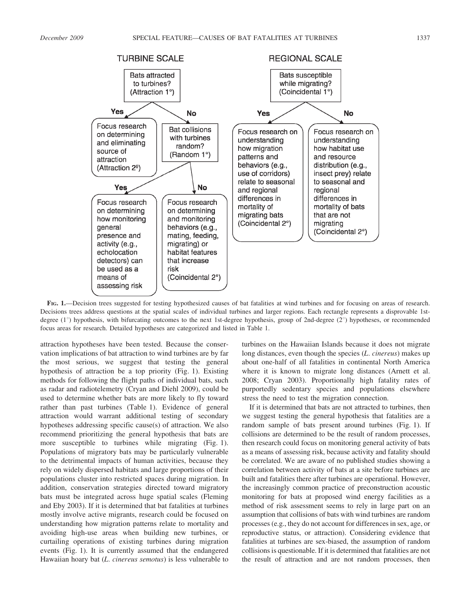

FIG. 1.—Decision trees suggested for testing hypothesized causes of bat fatalities at wind turbines and for focusing on areas of research. Decisions trees address questions at the spatial scales of individual turbines and larger regions. Each rectangle represents a disprovable 1stdegree (1°) hypothesis, with bifurcating outcomes to the next 1st-degree hypothesis, group of 2nd-degree (2°) hypotheses, or recommended focus areas for research. Detailed hypotheses are categorized and listed in Table 1.

attraction hypotheses have been tested. Because the conservation implications of bat attraction to wind turbines are by far the most serious, we suggest that testing the general hypothesis of attraction be a top priority (Fig. 1). Existing methods for following the flight paths of individual bats, such as radar and radiotelemetry (Cryan and Diehl 2009), could be used to determine whether bats are more likely to fly toward rather than past turbines (Table 1). Evidence of general attraction would warrant additional testing of secondary hypotheses addressing specific cause(s) of attraction. We also recommend prioritizing the general hypothesis that bats are more susceptible to turbines while migrating (Fig. 1). Populations of migratory bats may be particularly vulnerable to the detrimental impacts of human activities, because they rely on widely dispersed habitats and large proportions of their populations cluster into restricted spaces during migration. In addition, conservation strategies directed toward migratory bats must be integrated across huge spatial scales (Fleming and Eby 2003). If it is determined that bat fatalities at turbines mostly involve active migrants, research could be focused on understanding how migration patterns relate to mortality and avoiding high-use areas when building new turbines, or curtailing operations of existing turbines during migration events (Fig. 1). It is currently assumed that the endangered Hawaiian hoary bat (L. cinereus semotus) is less vulnerable to

turbines on the Hawaiian Islands because it does not migrate long distances, even though the species (*L. cinereus*) makes up about one-half of all fatalities in continental North America where it is known to migrate long distances (Arnett et al. 2008; Cryan 2003). Proportionally high fatality rates of purportedly sedentary species and populations elsewhere stress the need to test the migration connection.

If it is determined that bats are not attracted to turbines, then we suggest testing the general hypothesis that fatalities are a random sample of bats present around turbines (Fig. 1). If collisions are determined to be the result of random processes, then research could focus on monitoring general activity of bats as a means of assessing risk, because activity and fatality should be correlated. We are aware of no published studies showing a correlation between activity of bats at a site before turbines are built and fatalities there after turbines are operational. However, the increasingly common practice of preconstruction acoustic monitoring for bats at proposed wind energy facilities as a method of risk assessment seems to rely in large part on an assumption that collisions of bats with wind turbines are random processes (e.g., they do not account for differences in sex, age, or reproductive status, or attraction). Considering evidence that fatalities at turbines are sex-biased, the assumption of random collisions is questionable. If it is determined that fatalities are not the result of attraction and are not random processes, then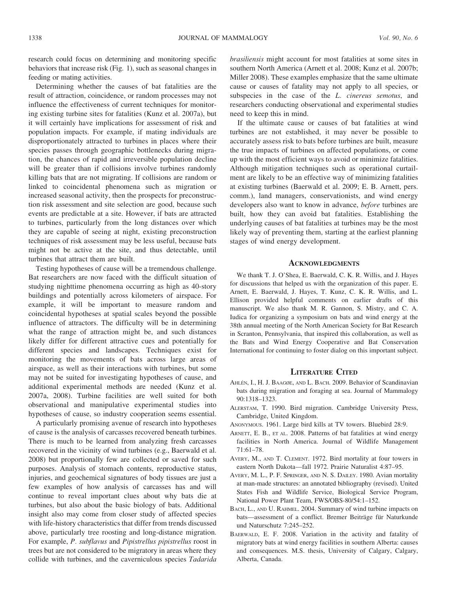research could focus on determining and monitoring specific behaviors that increase risk (Fig. 1), such as seasonal changes in feeding or mating activities.

Determining whether the causes of bat fatalities are the result of attraction, coincidence, or random processes may not influence the effectiveness of current techniques for monitoring existing turbine sites for fatalities (Kunz et al. 2007a), but it will certainly have implications for assessment of risk and population impacts. For example, if mating individuals are disproportionately attracted to turbines in places where their species passes through geographic bottlenecks during migration, the chances of rapid and irreversible population decline will be greater than if collisions involve turbines randomly killing bats that are not migrating. If collisions are random or linked to coincidental phenomena such as migration or increased seasonal activity, then the prospects for preconstruction risk assessment and site selection are good, because such events are predictable at a site. However, if bats are attracted to turbines, particularly from the long distances over which they are capable of seeing at night, existing preconstruction techniques of risk assessment may be less useful, because bats might not be active at the site, and thus detectable, until turbines that attract them are built.

Testing hypotheses of cause will be a tremendous challenge. Bat researchers are now faced with the difficult situation of studying nighttime phenomena occurring as high as 40-story buildings and potentially across kilometers of airspace. For example, it will be important to measure random and coincidental hypotheses at spatial scales beyond the possible influence of attractors. The difficulty will be in determining what the range of attraction might be, and such distances likely differ for different attractive cues and potentially for different species and landscapes. Techniques exist for monitoring the movements of bats across large areas of airspace, as well as their interactions with turbines, but some may not be suited for investigating hypotheses of cause, and additional experimental methods are needed (Kunz et al. 2007a, 2008). Turbine facilities are well suited for both observational and manipulative experimental studies into hypotheses of cause, so industry cooperation seems essential.

A particularly promising avenue of research into hypotheses of cause is the analysis of carcasses recovered beneath turbines. There is much to be learned from analyzing fresh carcasses recovered in the vicinity of wind turbines (e.g., Baerwald et al. 2008) but proportionally few are collected or saved for such purposes. Analysis of stomach contents, reproductive status, injuries, and geochemical signatures of body tissues are just a few examples of how analysis of carcasses has and will continue to reveal important clues about why bats die at turbines, but also about the basic biology of bats. Additional insight also may come from closer study of affected species with life-history characteristics that differ from trends discussed above, particularly tree roosting and long-distance migration. For example, P. subflavus and Pipistrellus pipistrellus roost in trees but are not considered to be migratory in areas where they collide with turbines, and the caverniculous species Tadarida

brasiliensis might account for most fatalities at some sites in southern North America (Arnett et al. 2008; Kunz et al. 2007b; Miller 2008). These examples emphasize that the same ultimate cause or causes of fatality may not apply to all species, or subspecies in the case of the L. cinereus semotus, and researchers conducting observational and experimental studies need to keep this in mind.

If the ultimate cause or causes of bat fatalities at wind turbines are not established, it may never be possible to accurately assess risk to bats before turbines are built, measure the true impacts of turbines on affected populations, or come up with the most efficient ways to avoid or minimize fatalities. Although mitigation techniques such as operational curtailment are likely to be an effective way of minimizing fatalities at existing turbines (Baerwald et al. 2009; E. B. Arnett, pers. comm.), land managers, conservationists, and wind energy developers also want to know in advance, before turbines are built, how they can avoid bat fatalities. Establishing the underlying causes of bat fatalities at turbines may be the most likely way of preventing them, starting at the earliest planning stages of wind energy development.

## **ACKNOWLEDGMENTS**

We thank T. J. O'Shea, E. Baerwald, C. K. R. Willis, and J. Hayes for discussions that helped us with the organization of this paper. E. Arnett, E. Baerwald, J. Hayes, T. Kunz, C. K. R. Willis, and L. Ellison provided helpful comments on earlier drafts of this manuscript. We also thank M. R. Gannon, S. Mistry, and C. A. Iudica for organizing a symposium on bats and wind energy at the 38th annual meeting of the North American Society for Bat Research in Scranton, Pennsylvania, that inspired this collaboration, as well as the Bats and Wind Energy Cooperative and Bat Conservation International for continuing to foster dialog on this important subject.

### LITERATURE CITED

- AHLÉN, I., H. J. BAAGØE, AND L. BACH. 2009. Behavior of Scandinavian bats during migration and foraging at sea. Journal of Mammalogy 90:1318–1323.
- ALERSTAM, T. 1990. Bird migration. Cambridge University Press, Cambridge, United Kingdom.
- ANONYMOUS. 1961. Large bird kills at TV towers. Bluebird 28:9.
- ARNETT, E. B., ET AL. 2008. Patterns of bat fatalities at wind energy facilities in North America. Journal of Wildlife Management 71:61–78.
- AVERY, M., AND T. CLEMENT. 1972. Bird mortality at four towers in eastern North Dakota—fall 1972. Prairie Naturalist 4:87–95.
- AVERY, M. L., P. F. SPRINGER, AND N. S. DAILEY. 1980. Avian mortality at man-made structures: an annotated bibliography (revised). United States Fish and Wildlife Service, Biological Service Program, National Power Plant Team, FWS/OBS-80/54:1–152.
- BACH, L., AND U. RAHMEL. 2004. Summary of wind turbine impacts on bats—assessment of a conflict. Bremer Beiträge für Naturkunde und Naturschutz 7:245–252.
- BAERWALD, E. F. 2008. Variation in the activity and fatality of migratory bats at wind energy facilities in southern Alberta: causes and consequences. M.S. thesis, University of Calgary, Calgary, Alberta, Canada.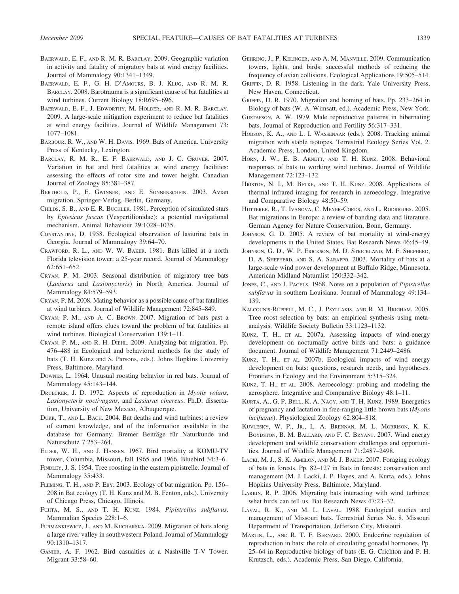- BAERWALD, E. F., AND R. M. R. BARCLAY. 2009. Geographic variation in activity and fatality of migratory bats at wind energy facilities. Journal of Mammalogy 90:1341–1349.
- BAERWALD, E. F., G. H. D'AMOURS, B. J. KLUG, AND R. M. R. BARCLAY. 2008. Barotrauma is a significant cause of bat fatalities at wind turbines. Current Biology 18:R695–696.
- BAERWALD, E. F., J. EDWORTHY, M. HOLDER, AND R. M. R. BARCLAY. 2009. A large-scale mitigation experiment to reduce bat fatalities at wind energy facilities. Journal of Wildlife Management 73: 1077–1081.
- BARBOUR, R. W., AND W. H. DAVIS. 1969. Bats of America. University Press of Kentucky, Lexington.
- BARCLAY, R. M. R., E. F. BAERWALD, AND J. C. GRUVER. 2007. Variation in bat and bird fatalities at wind energy facilities: assessing the effects of rotor size and tower height. Canadian Journal of Zoology 85:381–387.
- BERTHOLD, P., E. GWINNER, AND E. SONNENSCHEIN. 2003. Avian migration. Springer-Verlag, Berlin, Germany.
- CHILDS, S. B., AND E. R. BUCHLER. 1981. Perception of simulated stars by Eptesicus fuscus (Vespertilionidae): a potential navigational mechanism. Animal Behaviour 29:1028–1035.
- CONSTANTINE, D. 1958. Ecological observation of lasiurine bats in Georgia. Journal of Mammalogy 39:64–70.
- CRAWFORD, R. L., AND W. W. BAKER. 1981. Bats killed at a north Florida television tower: a 25-year record. Journal of Mammalogy 62:651–652.
- CRYAN, P. M. 2003. Seasonal distribution of migratory tree bats (Lasiurus and Lasionycteris) in North America. Journal of Mammalogy 84:579–593.
- CRYAN, P. M. 2008. Mating behavior as a possible cause of bat fatalities at wind turbines. Journal of Wildlife Management 72:845–849.
- CRYAN, P. M., AND A. C. BROWN. 2007. Migration of bats past a remote island offers clues toward the problem of bat fatalities at wind turbines. Biological Conservation 139:1–11.
- CRYAN, P. M., AND R. H. DIEHL. 2009. Analyzing bat migration. Pp. 476–488 in Ecological and behavioral methods for the study of bats (T. H. Kunz and S. Parsons, eds.). Johns Hopkins University Press, Baltimore, Maryland.
- DOWNES, L. 1964. Unusual roosting behavior in red bats. Journal of Mammalogy 45:143–144.
- DRUECKER, J. D. 1972. Aspects of reproduction in Myotis volans, Lasionycteris noctivagans, and Lasiurus cinereus. Ph.D. dissertation, University of New Mexico, Albuquerque.
- DÜRR, T., AND L. BACH. 2004. Bat deaths and wind turbines: a review of current knowledge, and of the information available in the database for Germany. Bremer Beiträge für Naturkunde und Naturschutz 7:253–264.
- ELDER, W. H., AND J. HANSEN. 1967. Bird mortality at KOMU-TV tower, Columbia, Missouri, fall 1965 and 1966. Bluebird 34:3–6.
- FINDLEY, J. S. 1954. Tree roosting in the eastern pipistrelle. Journal of Mammalogy 35:433.
- FLEMING, T. H., AND P. EBY. 2003. Ecology of bat migration. Pp. 156– 208 in Bat ecology (T. H. Kunz and M. B. Fenton, eds.). University of Chicago Press, Chicago, Illinois.
- FUJITA, M. S., AND T. H. KUNZ. 1984. Pipistrellus subflavus. Mammalian Species 228:1–6.
- FURMANKIEWICZ, J., AND M. KUCHARSKA. 2009. Migration of bats along a large river valley in southwestern Poland. Journal of Mammalogy 90:1310–1317.
- GANIER, A. F. 1962. Bird casualties at a Nashville T-V Tower. Migrant 33:58–60.
- GEHRING, J., P. KELINGER, AND A. M. MANVILLE. 2009. Communication towers, lights, and birds: successful methods of reducing the frequency of avian collisions. Ecological Applications 19:505–514.
- GRIFFIN, D. R. 1958. Listening in the dark. Yale University Press, New Haven, Connecticut.
- GRIFFIN, D. R. 1970. Migration and homing of bats. Pp. 233–264 in Biology of bats (W. A. Wimsatt, ed.). Academic Press, New York.
- GUSTAFSON, A. W. 1979. Male reproductive patterns in hibernating bats. Journal of Reproduction and Fertility 56:317–331.
- HOBSON, K. A., AND L. I. WASSENAAR (eds.). 2008. Tracking animal migration with stable isotopes. Terrestrial Ecology Series Vol. 2. Academic Press, London, United Kingdom.
- HORN, J. W., E. B. ARNETT, AND T. H. KUNZ. 2008. Behavioral responses of bats to working wind turbines. Journal of Wildlife Management 72:123–132.
- HRISTOV, N. I., M. BETKE, AND T. H. KUNZ. 2008. Applications of thermal infrared imaging for research in aeroecology. Integrative and Comparative Biology 48:50–59.
- HUTTERER, R., T. IVANOVA, C. MEYER-CORDS, AND L. RODRIGUES. 2005. Bat migrations in Europe: a review of banding data and literature. German Agency for Nature Conservation, Bonn, Germany.
- JOHNSON, G. D. 2005. A review of bat mortality at wind-energy developments in the United States. Bat Research News 46:45–49.
- JOHNSON, G. D., W. P. ERICKSON, M. D. STRICKLAND, M. F. SHEPHERD, D. A. SHEPHERD, AND S. A. SARAPPO. 2003. Mortality of bats at a large-scale wind power development at Buffalo Ridge, Minnesota. American Midland Naturalist 150:332–342.
- JONES, C., AND J. PAGELS. 1968. Notes on a population of Pipistrellus subflavus in southern Louisiana. Journal of Mammalogy 49:134-139.
- KALCOUNIS-RÜPPELL, M. C., J. PSYLLAKIS, AND R. M. BRIGHAM. 2005. Tree roost selection by bats: an empirical synthesis using metaanalysis. Wildlife Society Bulletin 33:1123–1132.
- KUNZ, T. H., ET AL. 2007a. Assessing impacts of wind-energy development on nocturnally active birds and bats: a guidance document. Journal of Wildlife Management 71:2449–2486.
- KUNZ, T. H., ET AL. 2007b. Ecological impacts of wind energy development on bats: questions, research needs, and hypotheses. Frontiers in Ecology and the Environment 5:315–324.
- KUNZ, T. H., ET AL. 2008. Aeroecology: probing and modeling the aerosphere. Integrative and Comparative Biology 48:1–11.
- KURTA, A., G. P. BELL, K. A. NAGY, AND T. H. KUNZ. 1989. Energetics of pregnancy and lactation in free-ranging little brown bats (Myotis lucifugus). Physiological Zoology 62:804–818.
- KUVLESKY, W. P., JR., L. A. BRENNAN, M. L. MORRISON, K. K. BOYDSTON, B. M. BALLARD, AND F. C. BRYANT. 2007. Wind energy development and wildlife conservation: challenges and opportunities. Journal of Wildlife Management 71:2487–2498.
- LACKI, M. J., S. K. AMELON, AND M. J. BAKER. 2007. Foraging ecology of bats in forests. Pp. 82–127 in Bats in forests: conservation and management (M. J. Lacki, J. P. Hayes, and A. Kurta, eds.). Johns Hopkins University Press, Baltimore, Maryland.
- LARKIN, R. P. 2006. Migrating bats interacting with wind turbines: what birds can tell us. Bat Research News 47:23–32.
- LAVAL, R. K., AND M. L. LAVAL. 1988. Ecological studies and management of Missouri bats. Terrestrial Series No. 8. Missouri Department of Transportation, Jefferson City, Missouri.
- MARTIN, L., AND R. T. F. BERNARD. 2000. Endocrine regulation of reproduction in bats: the role of circulating gonadal hormones. Pp. 25–64 in Reproductive biology of bats (E. G. Crichton and P. H. Krutzsch, eds.). Academic Press, San Diego, California.